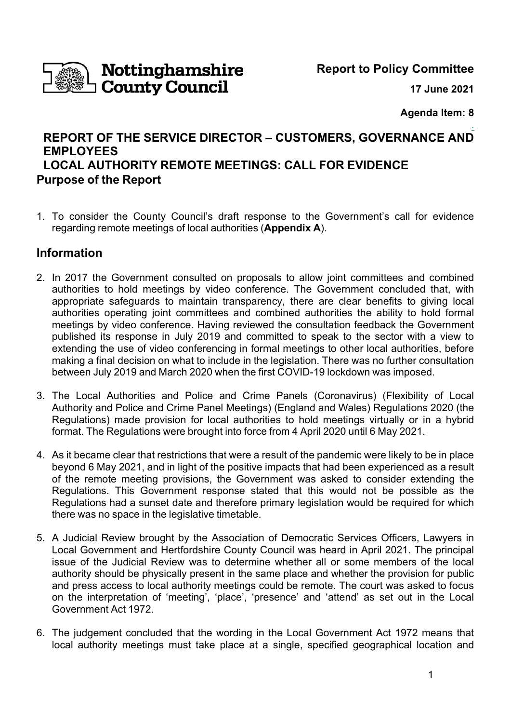

**Report to Policy Committee**

**17 June 2021**

**Agenda Item: 8**

## . **REPORT OF THE SERVICE DIRECTOR – CUSTOMERS, GOVERNANCE AND EMPLOYEES LOCAL AUTHORITY REMOTE MEETINGS: CALL FOR EVIDENCE Purpose of the Report**

1. To consider the County Council's draft response to the Government's call for evidence regarding remote meetings of local authorities (**Appendix A**).

# **Information**

- 2. In 2017 the Government consulted on proposals to allow joint committees and combined authorities to hold meetings by video conference. The Government concluded that, with appropriate safeguards to maintain transparency, there are clear benefits to giving local authorities operating joint committees and combined authorities the ability to hold formal meetings by video conference. Having reviewed the consultation feedback the Government published its response in July 2019 and committed to speak to the sector with a view to extending the use of video conferencing in formal meetings to other local authorities, before making a final decision on what to include in the legislation. There was no further consultation between July 2019 and March 2020 when the first COVID-19 lockdown was imposed.
- 3. The Local Authorities and Police and Crime Panels (Coronavirus) (Flexibility of Local Authority and Police and Crime Panel Meetings) (England and Wales) Regulations 2020 (the Regulations) made provision for local authorities to hold meetings virtually or in a hybrid format. The Regulations were brought into force from 4 April 2020 until 6 May 2021.
- 4. As it became clear that restrictions that were a result of the pandemic were likely to be in place beyond 6 May 2021, and in light of the positive impacts that had been experienced as a result of the remote meeting provisions, the Government was asked to consider extending the Regulations. This Government response stated that this would not be possible as the Regulations had a sunset date and therefore primary legislation would be required for which there was no space in the legislative timetable.
- 5. A Judicial Review brought by the Association of Democratic Services Officers, Lawyers in Local Government and Hertfordshire County Council was heard in April 2021. The principal issue of the Judicial Review was to determine whether all or some members of the local authority should be physically present in the same place and whether the provision for public and press access to local authority meetings could be remote. The court was asked to focus on the interpretation of 'meeting', 'place', 'presence' and 'attend' as set out in the Local Government Act 1972.
- 6. The judgement concluded that the wording in the Local Government Act 1972 means that local authority meetings must take place at a single, specified geographical location and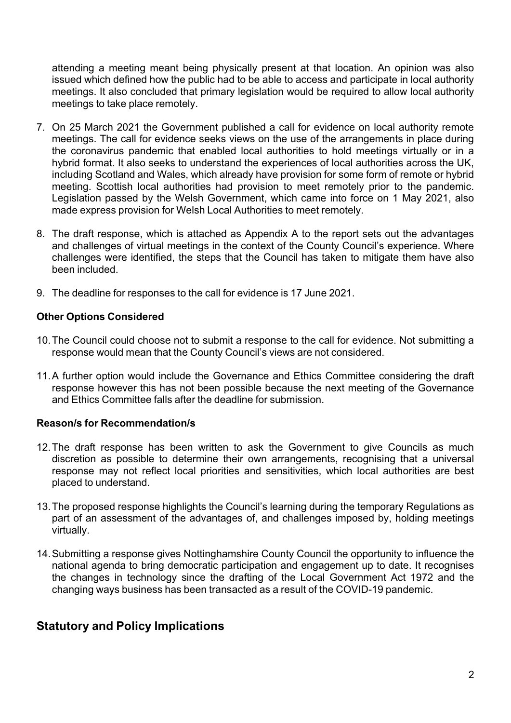attending a meeting meant being physically present at that location. An opinion was also issued which defined how the public had to be able to access and participate in local authority meetings. It also concluded that primary legislation would be required to allow local authority meetings to take place remotely.

- 7. On 25 March 2021 the Government published a call for evidence on local authority remote meetings. The call for evidence seeks views on the use of the arrangements in place during the coronavirus pandemic that enabled local authorities to hold meetings virtually or in a hybrid format. It also seeks to understand the experiences of local authorities across the UK, including Scotland and Wales, which already have provision for some form of remote or hybrid meeting. Scottish local authorities had provision to meet remotely prior to the pandemic. Legislation passed by the Welsh Government, which came into force on 1 May 2021, also made express provision for Welsh Local Authorities to meet remotely.
- 8. The draft response, which is attached as Appendix A to the report sets out the advantages and challenges of virtual meetings in the context of the County Council's experience. Where challenges were identified, the steps that the Council has taken to mitigate them have also been included.
- 9. The deadline for responses to the call for evidence is 17 June 2021.

## **Other Options Considered**

- 10.The Council could choose not to submit a response to the call for evidence. Not submitting a response would mean that the County Council's views are not considered.
- 11.A further option would include the Governance and Ethics Committee considering the draft response however this has not been possible because the next meeting of the Governance and Ethics Committee falls after the deadline for submission.

### **Reason/s for Recommendation/s**

- 12. The draft response has been written to ask the Government to give Councils as much discretion as possible to determine their own arrangements, recognising that a universal response may not reflect local priorities and sensitivities, which local authorities are best placed to understand.
- 13.The proposed response highlights the Council's learning during the temporary Regulations as part of an assessment of the advantages of, and challenges imposed by, holding meetings virtually.
- 14.Submitting a response gives Nottinghamshire County Council the opportunity to influence the national agenda to bring democratic participation and engagement up to date. It recognises the changes in technology since the drafting of the Local Government Act 1972 and the changing ways business has been transacted as a result of the COVID-19 pandemic.

## **Statutory and Policy Implications**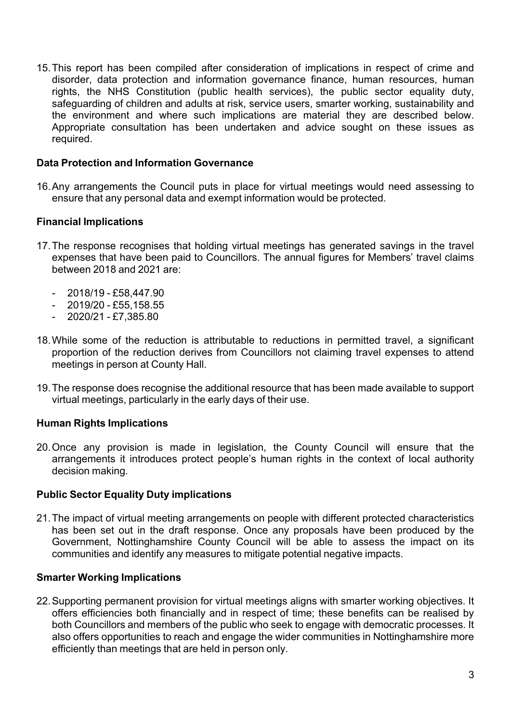15.This report has been compiled after consideration of implications in respect of crime and disorder, data protection and information governance finance, human resources, human rights, the NHS Constitution (public health services), the public sector equality duty, safeguarding of children and adults at risk, service users, smarter working, sustainability and the environment and where such implications are material they are described below. Appropriate consultation has been undertaken and advice sought on these issues as required.

### **Data Protection and Information Governance**

16.Any arrangements the Council puts in place for virtual meetings would need assessing to ensure that any personal data and exempt information would be protected.

## **Financial Implications**

- 17.The response recognises that holding virtual meetings has generated savings in the travel expenses that have been paid to Councillors. The annual figures for Members' travel claims between 2018 and 2021 are:
	- $-2018/19 £58,447.90$
	- $-2019/20 £55,158.55$
	- $-2020/21 £7.385.80$
- 18. While some of the reduction is attributable to reductions in permitted travel, a significant proportion of the reduction derives from Councillors not claiming travel expenses to attend meetings in person at County Hall.
- 19.The response does recognise the additional resource that has been made available to support virtual meetings, particularly in the early days of their use.

### **Human Rights Implications**

20.Once any provision is made in legislation, the County Council will ensure that the arrangements it introduces protect people's human rights in the context of local authority decision making.

### **Public Sector Equality Duty implications**

21.The impact of virtual meeting arrangements on people with different protected characteristics has been set out in the draft response. Once any proposals have been produced by the Government, Nottinghamshire County Council will be able to assess the impact on its communities and identify any measures to mitigate potential negative impacts.

### **Smarter Working Implications**

22.Supporting permanent provision for virtual meetings aligns with smarter working objectives. It offers efficiencies both financially and in respect of time; these benefits can be realised by both Councillors and members of the public who seek to engage with democratic processes. It also offers opportunities to reach and engage the wider communities in Nottinghamshire more efficiently than meetings that are held in person only.